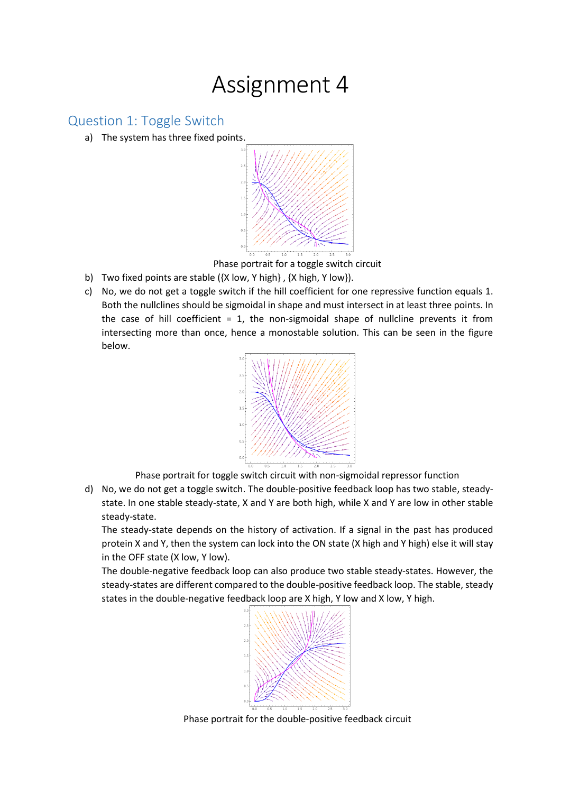## Assignment 4

## Question 1: Toggle Switch

a) The system has three fixed points.



Phase portrait for a toggle switch circuit

- b) Two fixed points are stable ({X low, Y high} , {X high, Y low}).
- c) No, we do not get a toggle switch if the hill coefficient for one repressive function equals 1. Both the nullclines should be sigmoidal in shape and must intersect in at least three points. In the case of hill coefficient  $= 1$ , the non-sigmoidal shape of nullcline prevents it from intersecting more than once, hence a monostable solution. This can be seen in the figure below.



Phase portrait for toggle switch circuit with non-sigmoidal repressor function

d) No, we do not get a toggle switch. The double-positive feedback loop has two stable, steadystate. In one stable steady-state, X and Y are both high, while X and Y are low in other stable steady-state.

The steady-state depends on the history of activation. If a signal in the past has produced protein X and Y, then the system can lock into the ON state (X high and Y high) else it will stay in the OFF state (X low, Y low).

The double-negative feedback loop can also produce two stable steady-states. However, the steady-states are different compared to the double-positive feedback loop. The stable, steady states in the double-negative feedback loop are X high, Y low and X low, Y high.



Phase portrait for the double-positive feedback circuit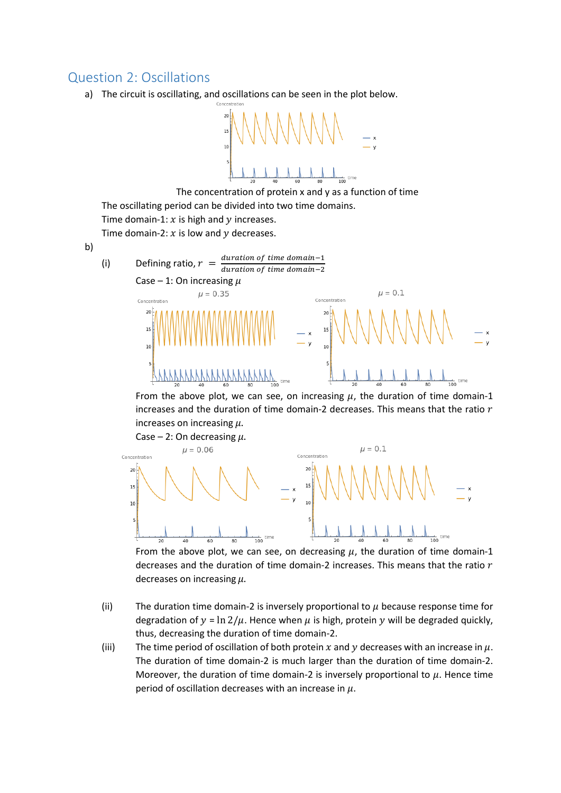## Question 2: Oscillations

a) The circuit is oscillating, and oscillations can be seen in the plot below.



The concentration of protein x and y as a function of time The oscillating period can be divided into two time domains. Time domain-1:  $x$  is high and  $y$  increases. Time domain-2:  $x$  is low and  $y$  decreases.

b)

(i) Defining ratio,  $r = \frac{duration \space of \space time \space domain -1}{duration \space of \space time \space domain \space 2}$ duration of time domain-2 Case – 1: On increasing  $\mu$  $\mu = 0.1$  $\mu = 0.35$ Concentration Concentration  $\overline{20}$  $20$ ŋ.  $\overline{1}$ 

From the above plot, we can see, on increasing  $\mu$ , the duration of time domain-1 increases and the duration of time domain-2 decreases. This means that the ratio  $r$ increases on increasing  $\mu$ .



From the above plot, we can see, on decreasing  $\mu$ , the duration of time domain-1 decreases and the duration of time domain-2 increases. This means that the ratio  $r$ decreases on increasing  $\mu$ .

- (ii) The duration time domain-2 is inversely proportional to  $\mu$  because response time for degradation of  $y = \ln 2/\mu$ . Hence when  $\mu$  is high, protein y will be degraded quickly, thus, decreasing the duration of time domain-2.
- (iii) The time period of oscillation of both protein x and y decreases with an increase in  $\mu$ . The duration of time domain-2 is much larger than the duration of time domain-2. Moreover, the duration of time domain-2 is inversely proportional to  $\mu$ . Hence time period of oscillation decreases with an increase in  $\mu$ .